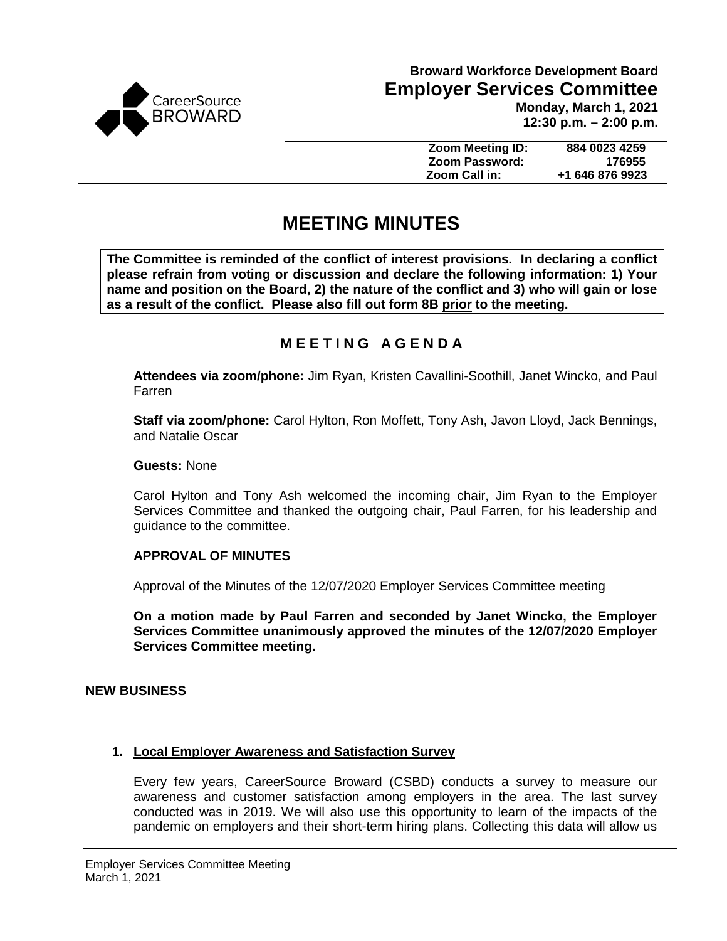

**12:30 p.m. – 2:00 p.m.**

| <b>Zoom Meeting ID:</b> | 884 0023 4259   |
|-------------------------|-----------------|
| Zoom Password:          | 176955          |
| Zoom Call in:           | +1 646 876 9923 |

# **MEETING MINUTES**

**The Committee is reminded of the conflict of interest provisions. In declaring a conflict please refrain from voting or discussion and declare the following information: 1) Your name and position on the Board, 2) the nature of the conflict and 3) who will gain or lose as a result of the conflict. Please also fill out form 8B prior to the meeting.**

## **M E E T I N G A G E N D A**

**Attendees via zoom/phone:** Jim Ryan, Kristen Cavallini-Soothill, Janet Wincko, and Paul Farren

**Staff via zoom/phone:** Carol Hylton, Ron Moffett, Tony Ash, Javon Lloyd, Jack Bennings, and Natalie Oscar

**Guests:** None

Carol Hylton and Tony Ash welcomed the incoming chair, Jim Ryan to the Employer Services Committee and thanked the outgoing chair, Paul Farren, for his leadership and guidance to the committee.

## **APPROVAL OF MINUTES**

Approval of the Minutes of the 12/07/2020 Employer Services Committee meeting

**On a motion made by Paul Farren and seconded by Janet Wincko, the Employer Services Committee unanimously approved the minutes of the 12/07/2020 Employer Services Committee meeting.**

## **NEW BUSINESS**

## **1. Local Employer Awareness and Satisfaction Survey**

Every few years, CareerSource Broward (CSBD) conducts a survey to measure our awareness and customer satisfaction among employers in the area. The last survey conducted was in 2019. We will also use this opportunity to learn of the impacts of the pandemic on employers and their short-term hiring plans. Collecting this data will allow us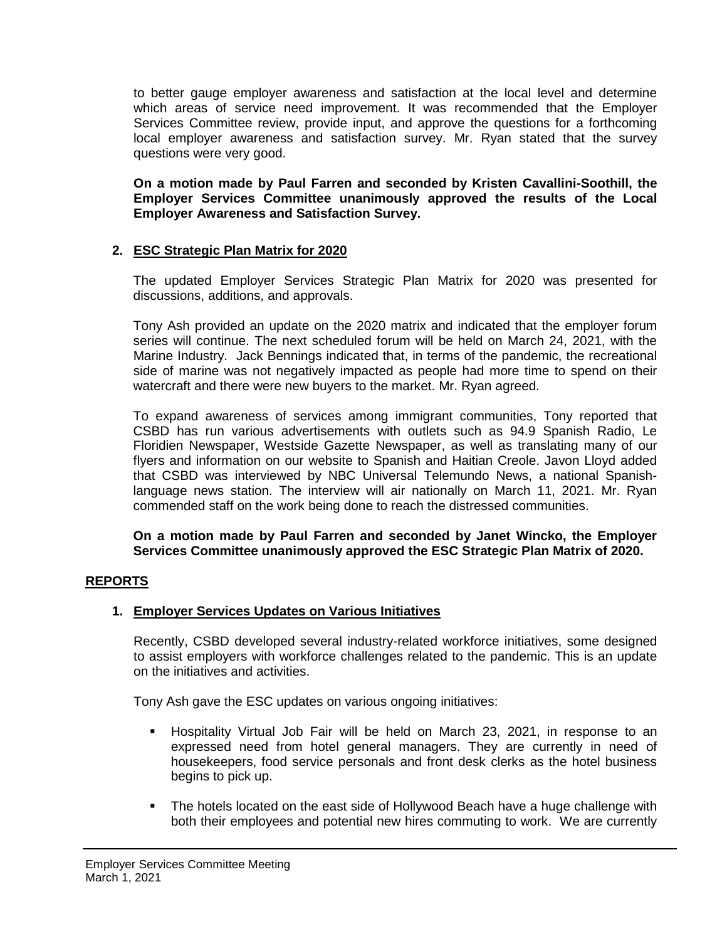to better gauge employer awareness and satisfaction at the local level and determine which areas of service need improvement. It was recommended that the Employer Services Committee review, provide input, and approve the questions for a forthcoming local employer awareness and satisfaction survey. Mr. Ryan stated that the survey questions were very good.

**On a motion made by Paul Farren and seconded by Kristen Cavallini-Soothill, the Employer Services Committee unanimously approved the results of the Local Employer Awareness and Satisfaction Survey.**

## **2. ESC Strategic Plan Matrix for 2020**

The updated Employer Services Strategic Plan Matrix for 2020 was presented for discussions, additions, and approvals.

Tony Ash provided an update on the 2020 matrix and indicated that the employer forum series will continue. The next scheduled forum will be held on March 24, 2021, with the Marine Industry. Jack Bennings indicated that, in terms of the pandemic, the recreational side of marine was not negatively impacted as people had more time to spend on their watercraft and there were new buyers to the market. Mr. Ryan agreed.

To expand awareness of services among immigrant communities, Tony reported that CSBD has run various advertisements with outlets such as 94.9 Spanish Radio, Le Floridien Newspaper, Westside Gazette Newspaper, as well as translating many of our flyers and information on our website to Spanish and Haitian Creole. Javon Lloyd added that CSBD was interviewed by NBC Universal Telemundo News, a national Spanishlanguage news station. The interview will air nationally on March 11, 2021. Mr. Ryan commended staff on the work being done to reach the distressed communities.

**On a motion made by Paul Farren and seconded by Janet Wincko, the Employer Services Committee unanimously approved the ESC Strategic Plan Matrix of 2020.** 

## **REPORTS**

## **1. Employer Services Updates on Various Initiatives**

Recently, CSBD developed several industry-related workforce initiatives, some designed to assist employers with workforce challenges related to the pandemic. This is an update on the initiatives and activities.

Tony Ash gave the ESC updates on various ongoing initiatives:

- Hospitality Virtual Job Fair will be held on March 23, 2021, in response to an expressed need from hotel general managers. They are currently in need of housekeepers, food service personals and front desk clerks as the hotel business begins to pick up.
- The hotels located on the east side of Hollywood Beach have a huge challenge with both their employees and potential new hires commuting to work. We are currently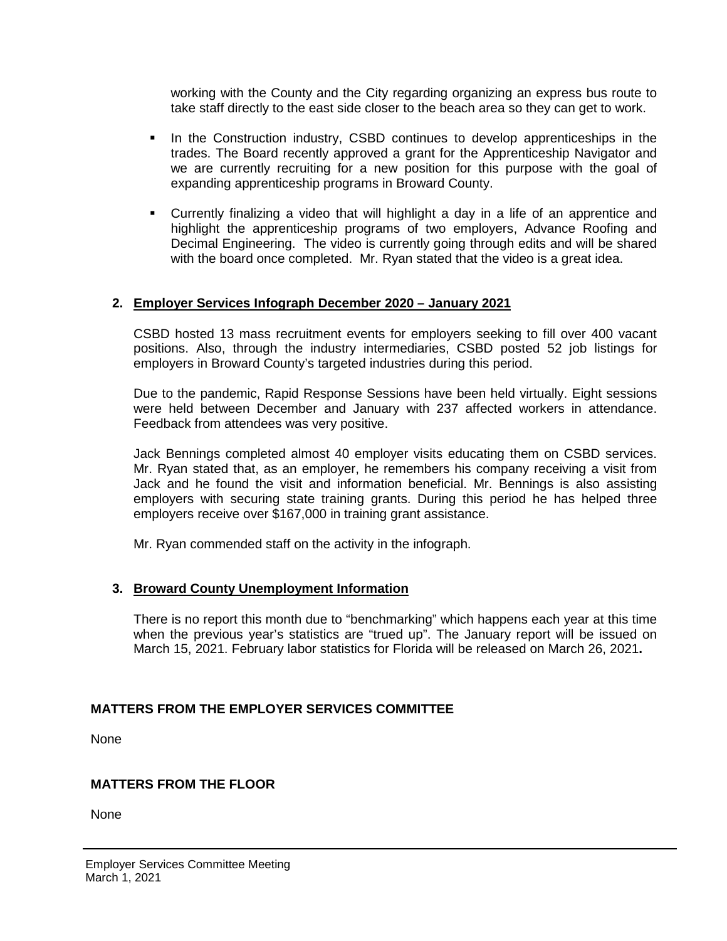working with the County and the City regarding organizing an express bus route to take staff directly to the east side closer to the beach area so they can get to work.

- In the Construction industry, CSBD continues to develop apprenticeships in the trades. The Board recently approved a grant for the Apprenticeship Navigator and we are currently recruiting for a new position for this purpose with the goal of expanding apprenticeship programs in Broward County.
- Currently finalizing a video that will highlight a day in a life of an apprentice and highlight the apprenticeship programs of two employers, Advance Roofing and Decimal Engineering. The video is currently going through edits and will be shared with the board once completed. Mr. Ryan stated that the video is a great idea.

## **2. Employer Services Infograph December 2020 – January 2021**

CSBD hosted 13 mass recruitment events for employers seeking to fill over 400 vacant positions. Also, through the industry intermediaries, CSBD posted 52 job listings for employers in Broward County's targeted industries during this period.

Due to the pandemic, Rapid Response Sessions have been held virtually. Eight sessions were held between December and January with 237 affected workers in attendance. Feedback from attendees was very positive.

Jack Bennings completed almost 40 employer visits educating them on CSBD services. Mr. Ryan stated that, as an employer, he remembers his company receiving a visit from Jack and he found the visit and information beneficial. Mr. Bennings is also assisting employers with securing state training grants. During this period he has helped three employers receive over \$167,000 in training grant assistance.

Mr. Ryan commended staff on the activity in the infograph.

## **3. Broward County Unemployment Information**

There is no report this month due to "benchmarking" which happens each year at this time when the previous year's statistics are "trued up". The January report will be issued on March 15, 2021. February labor statistics for Florida will be released on March 26, 2021**.**

## **MATTERS FROM THE EMPLOYER SERVICES COMMITTEE**

None

## **MATTERS FROM THE FLOOR**

None